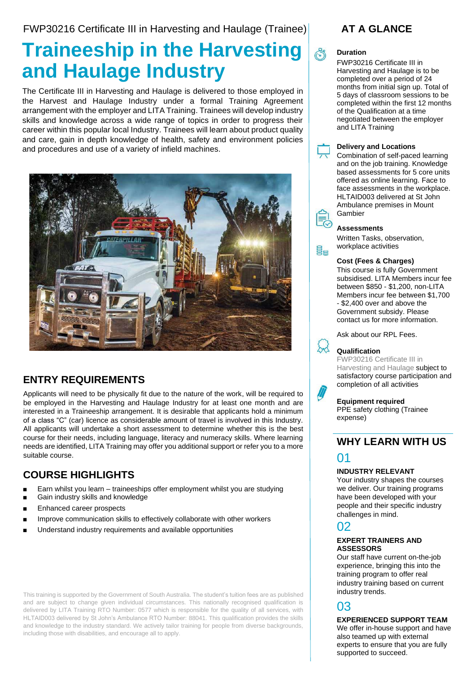FWP30216 Certificate III in Harvesting and Haulage (Trainee)

# **Traineeship in the Harvesting and Haulage Industry**

The Certificate III in Harvesting and Haulage is delivered to those employed in the Harvest and Haulage Industry under a formal Training Agreement arrangement with the employer and LITA Training. Trainees will develop industry skills and knowledge across a wide range of topics in order to progress their career within this popular local Industry. Trainees will learn about product quality and care, gain in depth knowledge of health, safety and environment policies and procedures and use of a variety of infield machines.



### **ENTRY REQUIREMENTS**

Applicants will need to be physically fit due to the nature of the work, will be required to be employed in the Harvesting and Haulage Industry for at least one month and are interested in a Traineeship arrangement. It is desirable that applicants hold a minimum of a class "C" (car) licence as considerable amount of travel is involved in this Industry. All applicants will undertake a short assessment to determine whether this is the best course for their needs, including language, literacy and numeracy skills. Where learning needs are identified, LITA Training may offer you additional support or refer you to a more suitable course.

### **COURSE HIGHLIGHTS**

- Earn whilst you learn traineeships offer employment whilst you are studying
- Gain industry skills and knowledge
- Enhanced career prospects
- Improve communication skills to effectively collaborate with other workers
- Understand industry requirements and available opportunities

This training is supported by the Government of South Australia. The student's tuition fees are as published and are subject to change given individual circumstances. This nationally recognised qualification is delivered by LITA Training RTO Number: 0577 which is responsible for the quality of all services, with HLTAID003 delivered by St John's Ambulance RTO Number: 88041. This qualification provides the skills and knowledge to the industry standard. We actively tailor training for people from diverse backgrounds, including those with disabilities, and encourage all to apply.

## **AT A GLANCE**

#### **Duration**

FWP30216 Certificate III in Harvesting and Haulage is to be completed over a period of 24 months from initial sign up. Total of 5 days of classroom sessions to be completed within the first 12 months of the Qualification at a time negotiated between the employer and LITA Training



ge

#### **Delivery and Locations**

Combination of self-paced learning and on the job training. Knowledge based assessments for 5 core units offered as online learning. Face to face assessments in the workplace. HLTAID003 delivered at St John Ambulance premises in Mount Gambier



Written Tasks, observation, workplace activities

#### **Cost (Fees & Charges)**

This course is fully Government subsidised. LITA Members incur fee between \$850 - \$1,200, non-LITA Members incur fee between \$1,700 - \$2,400 over and above the Government subsidy. Please contact us for more information.

Ask about our RPL Fees.

#### **Qualification**

FWP30216 Certificate III in Harvesting and Haulage subject to satisfactory course participation and completion of all activities

#### **Equipment required**

PPE safety clothing (Trainee expense)

### **WHY LEARN WITH US**

# 01

#### **INDUSTRY RELEVANT**

Your industry shapes the courses we deliver. Our training programs have been developed with your people and their specific industry challenges in mind.

### 02

#### **EXPERT TRAINERS AND ASSESSORS**

Our staff have current on-the-job experience, bringing this into the training program to offer real industry training based on current industry trends.

### 03

#### **EXPERIENCED SUPPORT TEAM**

We offer in-house support and have also teamed up with external experts to ensure that you are fully supported to succeed.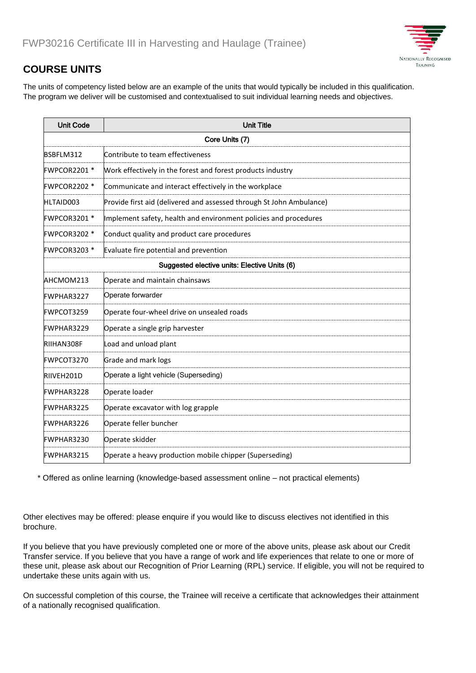

### **COURSE UNITS**

The units of competency listed below are an example of the units that would typically be included in this qualification. The program we deliver will be customised and contextualised to suit individual learning needs and objectives.

| <b>Unit Code</b>                             | <b>Unit Title</b>                                                    |
|----------------------------------------------|----------------------------------------------------------------------|
| Core Units (7)                               |                                                                      |
| BSBFLM312                                    | Contribute to team effectiveness                                     |
| FWPCOR2201 *                                 | Work effectively in the forest and forest products industry          |
| <b>FWPCOR2202 *</b>                          | Communicate and interact effectively in the workplace                |
| HLTAID003                                    | Provide first aid (delivered and assessed through St John Ambulance) |
| FWPCOR3201 *                                 | Implement safety, health and environment policies and procedures     |
| <b>FWPCOR3202 *</b>                          | Conduct quality and product care procedures                          |
| FWPCOR3203 *                                 | Evaluate fire potential and prevention                               |
| Suggested elective units: Elective Units (6) |                                                                      |
| AHCMOM213                                    | Operate and maintain chainsaws                                       |
| <b>FWPHAR3227</b>                            | Operate forwarder                                                    |
| <b>FWPCOT3259</b>                            | Operate four-wheel drive on unsealed roads                           |
| <b>FWPHAR3229</b>                            | Operate a single grip harvester                                      |
| RIIHAN308F                                   | Load and unload plant                                                |
| FWPCOT3270                                   | Grade and mark logs                                                  |
| RIIVEH201D                                   | Operate a light vehicle (Superseding)                                |
| <b>FWPHAR3228</b>                            | Operate loader                                                       |
| FWPHAR3225                                   | Operate excavator with log grapple                                   |
| <b>FWPHAR3226</b>                            | Operate feller buncher                                               |
| FWPHAR3230                                   | Operate skidder                                                      |
| <b>FWPHAR3215</b>                            | Operate a heavy production mobile chipper (Superseding)              |

\* Offered as online learning (knowledge-based assessment online – not practical elements)

Other electives may be offered: please enquire if you would like to discuss electives not identified in this brochure.

If you believe that you have previously completed one or more of the above units, please ask about our Credit Transfer service. If you believe that you have a range of work and life experiences that relate to one or more of these unit, please ask about our Recognition of Prior Learning (RPL) service. If eligible, you will not be required to undertake these units again with us.

On successful completion of this course, the Trainee will receive a certificate that acknowledges their attainment of a nationally recognised qualification.